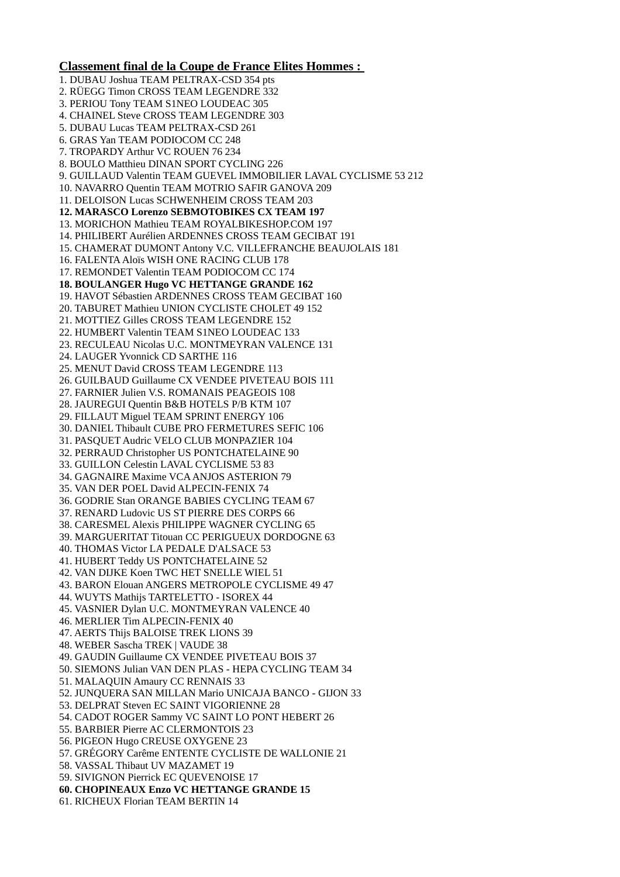## **Classement final de la Coupe de France Elites Hommes :**

1. DUBAU Joshua TEAM PELTRAX-CSD 354 pts 2. RÜEGG Timon CROSS TEAM LEGENDRE 332 3. PERIOU Tony TEAM S1NEO LOUDEAC 305 4. CHAINEL Steve CROSS TEAM LEGENDRE 303 5. DUBAU Lucas TEAM PELTRAX-CSD 261 6. GRAS Yan TEAM PODIOCOM CC 248 7. TROPARDY Arthur VC ROUEN 76 234 8. BOULO Matthieu DINAN SPORT CYCLING 226 9. GUILLAUD Valentin TEAM GUEVEL IMMOBILIER LAVAL CYCLISME 53 212 10. NAVARRO Quentin TEAM MOTRIO SAFIR GANOVA 209 11. DELOISON Lucas SCHWENHEIM CROSS TEAM 203 **12. MARASCO Lorenzo SEBMOTOBIKES CX TEAM 197**  13. MORICHON Mathieu TEAM ROYALBIKESHOP.COM 197 14. PHILIBERT Aurélien ARDENNES CROSS TEAM GECIBAT 191 15. CHAMERAT DUMONT Antony V.C. VILLEFRANCHE BEAUJOLAIS 181 16. FALENTA Aloïs WISH ONE RACING CLUB 178 17. REMONDET Valentin TEAM PODIOCOM CC 174 **18. BOULANGER Hugo VC HETTANGE GRANDE 162**  19. HAVOT Sébastien ARDENNES CROSS TEAM GECIBAT 160 20. TABURET Mathieu UNION CYCLISTE CHOLET 49 152 21. MOTTIEZ Gilles CROSS TEAM LEGENDRE 152 22. HUMBERT Valentin TEAM S1NEO LOUDEAC 133 23. RECULEAU Nicolas U.C. MONTMEYRAN VALENCE 131 24. LAUGER Yvonnick CD SARTHE 116 25. MENUT David CROSS TEAM LEGENDRE 113 26. GUILBAUD Guillaume CX VENDEE PIVETEAU BOIS 111 27. FARNIER Julien V.S. ROMANAIS PEAGEOIS 108 28. JAUREGUI Quentin B&B HOTELS P/B KTM 107 29. FILLAUT Miguel TEAM SPRINT ENERGY 106 30. DANIEL Thibault CUBE PRO FERMETURES SEFIC 106 31. PASQUET Audric VELO CLUB MONPAZIER 104 32. PERRAUD Christopher US PONTCHATELAINE 90 33. GUILLON Celestin LAVAL CYCLISME 53 83 34. GAGNAIRE Maxime VCA ANJOS ASTERION 79 35. VAN DER POEL David ALPECIN-FENIX 74 36. GODRIE Stan ORANGE BABIES CYCLING TEAM 67 37. RENARD Ludovic US ST PIERRE DES CORPS 66 38. CARESMEL Alexis PHILIPPE WAGNER CYCLING 65 39. MARGUERITAT Titouan CC PERIGUEUX DORDOGNE 63 40. THOMAS Victor LA PEDALE D'ALSACE 53 41. HUBERT Teddy US PONTCHATELAINE 52 42. VAN DIJKE Koen TWC HET SNELLE WIEL 51 43. BARON Elouan ANGERS METROPOLE CYCLISME 49 47 44. WUYTS Mathijs TARTELETTO - ISOREX 44 45. VASNIER Dylan U.C. MONTMEYRAN VALENCE 40 46. MERLIER Tim ALPECIN-FENIX 40 47. AERTS Thijs BALOISE TREK LIONS 39 48. WEBER Sascha TREK | VAUDE 38 49. GAUDIN Guillaume CX VENDEE PIVETEAU BOIS 37 50. SIEMONS Julian VAN DEN PLAS - HEPA CYCLING TEAM 34 51. MALAQUIN Amaury CC RENNAIS 33 52. JUNQUERA SAN MILLAN Mario UNICAJA BANCO - GIJON 33 53. DELPRAT Steven EC SAINT VIGORIENNE 28 54. CADOT ROGER Sammy VC SAINT LO PONT HEBERT 26 55. BARBIER Pierre AC CLERMONTOIS 23 56. PIGEON Hugo CREUSE OXYGENE 23 57. GRÉGORY Carême ENTENTE CYCLISTE DE WALLONIE 21 58. VASSAL Thibaut UV MAZAMET 19 59. SIVIGNON Pierrick EC QUEVENOISE 17 **60. CHOPINEAUX Enzo VC HETTANGE GRANDE 15**  61. RICHEUX Florian TEAM BERTIN 14